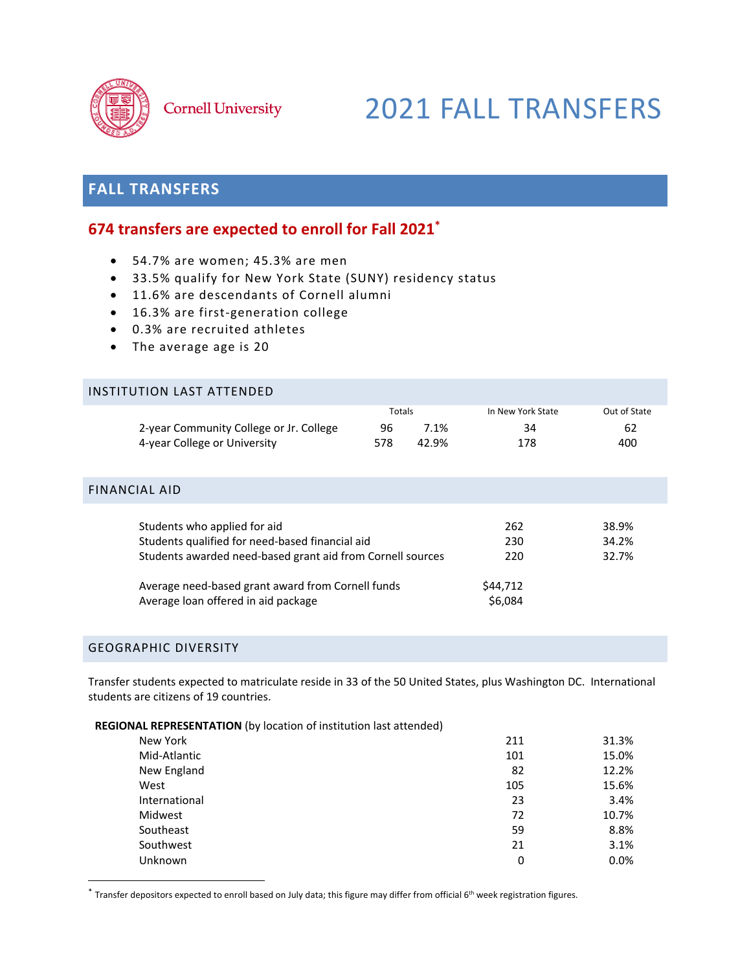

# 2021 FALL TRANSFERS

# **FALL TRANSFERS**

# **674 transfers are expected to enroll for Fall 2021\***

- 54.7% are women; 45.3% are men
- 33.5% qualify for New York State (SUNY) residency status
- 11.6% are descendants of Cornell alumni
- 16.3% are first-generation college
- 0.3% are recruited athletes
- The average age is 20

## INSTITUTION LAST ATTENDED

|                                         | Totals |         | In New York State | Out of State |  |
|-----------------------------------------|--------|---------|-------------------|--------------|--|
| 2-year Community College or Jr. College | 96     | $7.1\%$ | 34                | 62           |  |
| 4-year College or University            | 578    | 42.9%   | 178               | 400          |  |

## FINANCIAL AID

| Students who applied for aid                                                             | 262                 | 38.9% |
|------------------------------------------------------------------------------------------|---------------------|-------|
| Students qualified for need-based financial aid                                          | 230                 | 34.2% |
| Students awarded need-based grant aid from Cornell sources                               | 220                 | 32.7% |
| Average need-based grant award from Cornell funds<br>Average loan offered in aid package | \$44,712<br>\$6.084 |       |

# GEOGRAPHIC DIVERSITY

Transfer students expected to matriculate reside in 33 of the 50 United States, plus Washington DC. International students are citizens of 19 countries.

#### **REGIONAL REPRESENTATION** (by location of institution last attended)

| New York      | 211 | 31.3%   |
|---------------|-----|---------|
| Mid-Atlantic  | 101 | 15.0%   |
| New England   | 82  | 12.2%   |
| West          | 105 | 15.6%   |
| International | 23  | 3.4%    |
| Midwest       | 72  | 10.7%   |
| Southeast     | 59  | 8.8%    |
| Southwest     | 21  | 3.1%    |
| Unknown       | 0   | $0.0\%$ |

 $^*$  Transfer depositors expected to enroll based on July data; this figure may differ from official 6<sup>th</sup> week registration figures.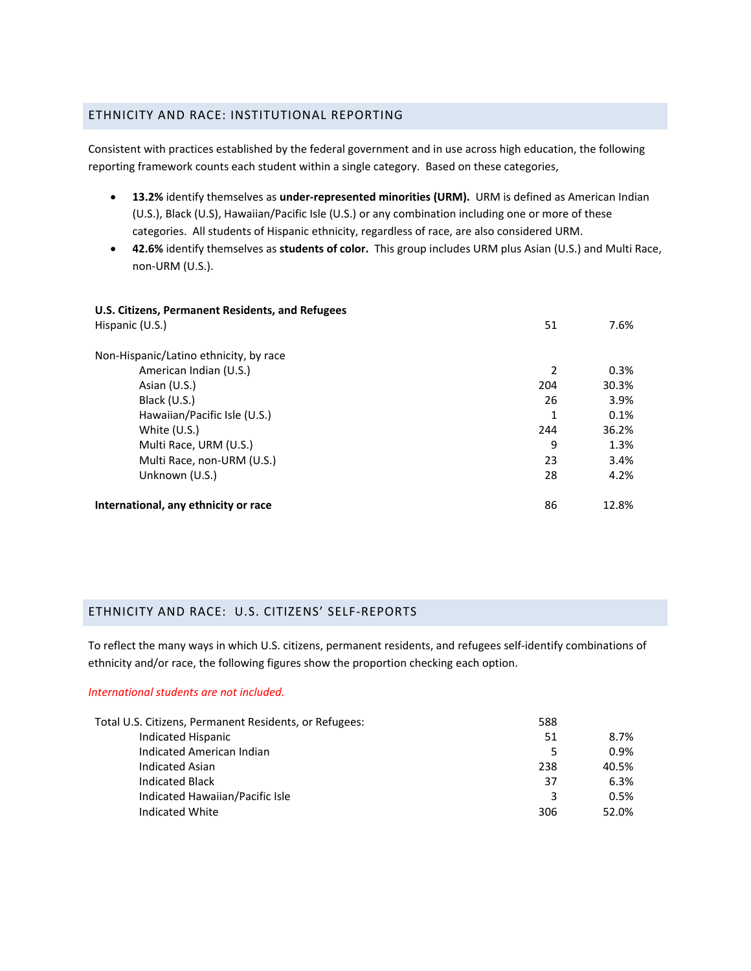# ETHNICITY AND RACE: INSTITUTIONAL REPORTING

Consistent with practices established by the federal government and in use across high education, the following reporting framework counts each student within a single category. Based on these categories,

- **13.2%** identify themselves as **under‐represented minorities (URM).** URM is defined as American Indian (U.S.), Black (U.S), Hawaiian/Pacific Isle (U.S.) or any combination including one or more of these categories. All students of Hispanic ethnicity, regardless of race, are also considered URM.
- **42.6%** identify themselves as **students of color.** This group includes URM plus Asian (U.S.) and Multi Race, non‐URM (U.S.).

| U.S. Citizens, Permanent Residents, and Refugees<br>Hispanic (U.S.) | 51  | 7.6%  |
|---------------------------------------------------------------------|-----|-------|
| Non-Hispanic/Latino ethnicity, by race<br>American Indian (U.S.)    | 2   | 0.3%  |
| Asian (U.S.)                                                        | 204 | 30.3% |
| Black (U.S.)                                                        | 26  | 3.9%  |
| Hawaiian/Pacific Isle (U.S.)                                        | 1   | 0.1%  |
| White $(U.S.)$                                                      | 244 | 36.2% |
| Multi Race, URM (U.S.)                                              | 9   | 1.3%  |
| Multi Race, non-URM (U.S.)                                          | 23  | 3.4%  |
| Unknown (U.S.)                                                      | 28  | 4.2%  |
| International, any ethnicity or race                                | 86  | 12.8% |

## ETHNICITY AND RACE: U.S. CITIZENS' SELF‐REPORTS

To reflect the many ways in which U.S. citizens, permanent residents, and refugees self‐identify combinations of ethnicity and/or race, the following figures show the proportion checking each option.

## *International students are not included.*

| Total U.S. Citizens, Permanent Residents, or Refugees: | 588 |       |
|--------------------------------------------------------|-----|-------|
| Indicated Hispanic                                     | 51  | 8.7%  |
| Indicated American Indian                              | 5   | 0.9%  |
| <b>Indicated Asian</b>                                 | 238 | 40.5% |
| <b>Indicated Black</b>                                 | 37  | 6.3%  |
| Indicated Hawaiian/Pacific Isle                        | 3   | 0.5%  |
| Indicated White                                        | 306 | 52.0% |